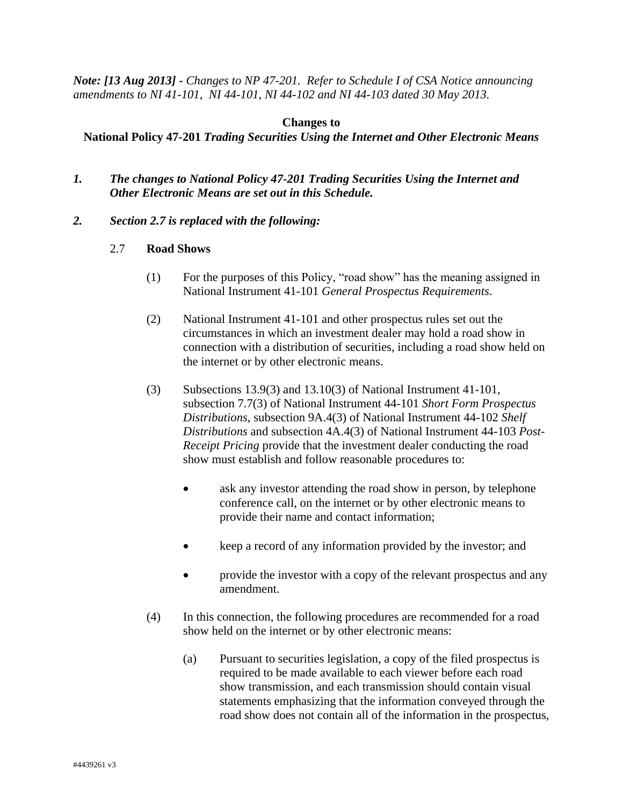*Note: [13 Aug 2013] - Changes to NP 47-201. Refer to Schedule I of CSA Notice announcing amendments to NI 41-101, NI 44-101, NI 44-102 and NI 44-103 dated 30 May 2013.*

## **Changes to**

## **National Policy 47-201** *Trading Securities Using the Internet and Other Electronic Means*

- *1. The changes to National Policy 47-201 Trading Securities Using the Internet and Other Electronic Means are set out in this Schedule.*
- *2. Section 2.7 is replaced with the following:*
	- 2.7 **Road Shows**
		- (1) For the purposes of this Policy, "road show" has the meaning assigned in National Instrument 41-101 *General Prospectus Requirements*.
		- (2) National Instrument 41-101 and other prospectus rules set out the circumstances in which an investment dealer may hold a road show in connection with a distribution of securities, including a road show held on the internet or by other electronic means.
		- (3) Subsections 13.9(3) and 13.10(3) of National Instrument 41-101, subsection 7.7(3) of National Instrument 44-101 *Short Form Prospectus Distributions*, subsection 9A.4(3) of National Instrument 44-102 *Shelf Distributions* and subsection 4A.4(3) of National Instrument 44-103 *Post-Receipt Pricing* provide that the investment dealer conducting the road show must establish and follow reasonable procedures to:
			- ask any investor attending the road show in person, by telephone conference call, on the internet or by other electronic means to provide their name and contact information;
			- keep a record of any information provided by the investor; and
			- provide the investor with a copy of the relevant prospectus and any amendment.
		- (4) In this connection, the following procedures are recommended for a road show held on the internet or by other electronic means:
			- (a) Pursuant to securities legislation, a copy of the filed prospectus is required to be made available to each viewer before each road show transmission, and each transmission should contain visual statements emphasizing that the information conveyed through the road show does not contain all of the information in the prospectus,